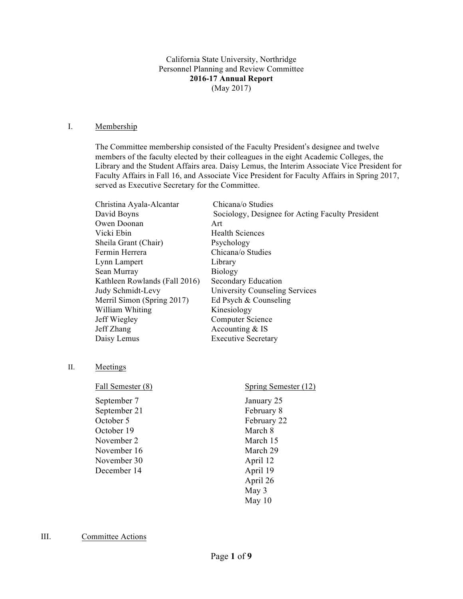California State University, Northridge Personnel Planning and Review Committee **2016-17 Annual Report** (May 2017)

### I. Membership

The Committee membership consisted of the Faculty President's designee and twelve members of the faculty elected by their colleagues in the eight Academic Colleges, the Library and the Student Affairs area. Daisy Lemus, the Interim Associate Vice President for Faculty Affairs in Fall 16, and Associate Vice President for Faculty Affairs in Spring 2017, served as Executive Secretary for the Committee.

| Christina Ayala-Alcantar      | Chicana/o Studies                                |
|-------------------------------|--------------------------------------------------|
| David Boyns                   | Sociology, Designee for Acting Faculty President |
| Owen Doonan                   | Art                                              |
| Vicki Ebin                    | <b>Health Sciences</b>                           |
| Sheila Grant (Chair)          | Psychology                                       |
| Fermin Herrera                | Chicana/o Studies                                |
| Lynn Lampert                  | Library                                          |
| Sean Murray                   | <b>Biology</b>                                   |
| Kathleen Rowlands (Fall 2016) | Secondary Education                              |
| Judy Schmidt-Levy             | <b>University Counseling Services</b>            |
| Merril Simon (Spring 2017)    | Ed Psych & Counseling                            |
| William Whiting               | Kinesiology                                      |
| Jeff Wiegley                  | <b>Computer Science</b>                          |
| Jeff Zhang                    | Accounting $&$ IS                                |
| Daisy Lemus                   | <b>Executive Secretary</b>                       |

#### II. Meetings

| Fall Semester (8) | Spring Semester (12) |
|-------------------|----------------------|
| September 7       | January 25           |
| September 21      | February 8           |
| October 5         | February 22          |
| October 19        | March 8              |
| November 2        | March 15             |
| November 16       | March 29             |
| November 30       | April 12             |
| December 14       | April 19             |
|                   | April 26             |
|                   | May 3                |
|                   | May $10$             |

# III. Committee Actions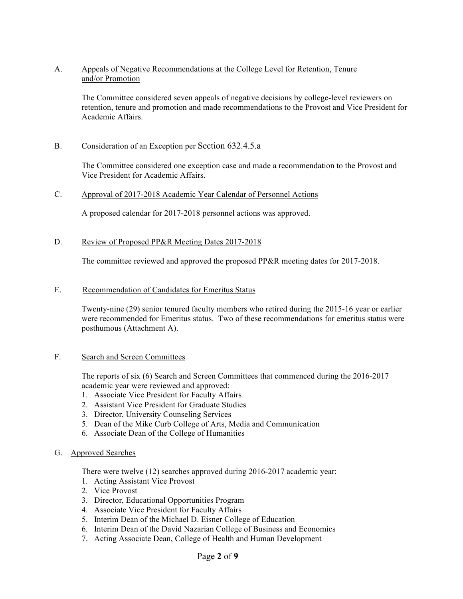# A. Appeals of Negative Recommendations at the College Level for Retention, Tenure and/or Promotion

The Committee considered seven appeals of negative decisions by college-level reviewers on retention, tenure and promotion and made recommendations to the Provost and Vice President for Academic Affairs.

# B. Consideration of an Exception per Section 632.4.5.a

The Committee considered one exception case and made a recommendation to the Provost and Vice President for Academic Affairs.

## C. Approval of 2017-2018 Academic Year Calendar of Personnel Actions

A proposed calendar for 2017-2018 personnel actions was approved.

### D. Review of Proposed PP&R Meeting Dates 2017-2018

The committee reviewed and approved the proposed PP&R meeting dates for 2017-2018.

#### E. Recommendation of Candidates for Emeritus Status

Twenty-nine (29) senior tenured faculty members who retired during the 2015-16 year or earlier were recommended for Emeritus status. Two of these recommendations for emeritus status were posthumous (Attachment A).

#### F. Search and Screen Committees

The reports of six (6) Search and Screen Committees that commenced during the 2016-2017 academic year were reviewed and approved:

- 1. Associate Vice President for Faculty Affairs
- 2. Assistant Vice President for Graduate Studies
- 3. Director, University Counseling Services
- 5. Dean of the Mike Curb College of Arts, Media and Communication
- 6. Associate Dean of the College of Humanities

#### G. Approved Searches

There were twelve (12) searches approved during 2016-2017 academic year:

- 1. Acting Assistant Vice Provost
- 2. Vice Provost
- 3. Director, Educational Opportunities Program
- 4. Associate Vice President for Faculty Affairs
- 5. Interim Dean of the Michael D. Eisner College of Education
- 6. Interim Dean of the David Nazarian College of Business and Economics
- 7. Acting Associate Dean, College of Health and Human Development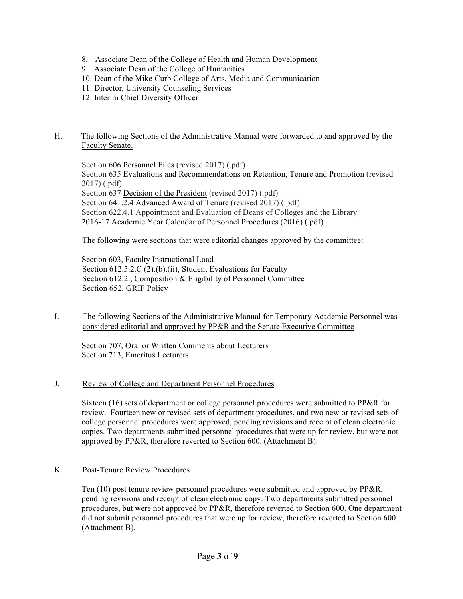- 8. Associate Dean of the College of Health and Human Development
- 9. Associate Dean of the College of Humanities
- 10. Dean of the Mike Curb College of Arts, Media and Communication
- 11. Director, University Counseling Services
- 12. Interim Chief Diversity Officer

# H. The following Sections of the Administrative Manual were forwarded to and approved by the Faculty Senate.

Section 606 Personnel Files (revised 2017) (.pdf) Section 635 Evaluations and Recommendations on Retention, Tenure and Promotion (revised 2017) (.pdf) Section 637 Decision of the President (revised 2017) (.pdf) Section 641.2.4 Advanced Award of Tenure (revised 2017) (.pdf) Section 622.4.1 Appointment and Evaluation of Deans of Colleges and the Library 2016-17 Academic Year Calendar of Personnel Procedures (2016) (.pdf)

The following were sections that were editorial changes approved by the committee:

Section 603, Faculty Instructional Load Section 612.5.2.C (2).(b).(ii), Student Evaluations for Faculty Section 612.2., Composition & Eligibility of Personnel Committee Section 652, GRIF Policy

# I. The following Sections of the Administrative Manual for Temporary Academic Personnel was considered editorial and approved by PP&R and the Senate Executive Committee

Section 707, Oral or Written Comments about Lecturers Section 713, Emeritus Lecturers

## J. Review of College and Department Personnel Procedures

Sixteen (16) sets of department or college personnel procedures were submitted to PP&R for review. Fourteen new or revised sets of department procedures, and two new or revised sets of college personnel procedures were approved, pending revisions and receipt of clean electronic copies. Two departments submitted personnel procedures that were up for review, but were not approved by PP&R, therefore reverted to Section 600. (Attachment B).

## K. Post-Tenure Review Procedures

Ten (10) post tenure review personnel procedures were submitted and approved by PP&R, pending revisions and receipt of clean electronic copy. Two departments submitted personnel procedures, but were not approved by PP&R, therefore reverted to Section 600. One department did not submit personnel procedures that were up for review, therefore reverted to Section 600. (Attachment B).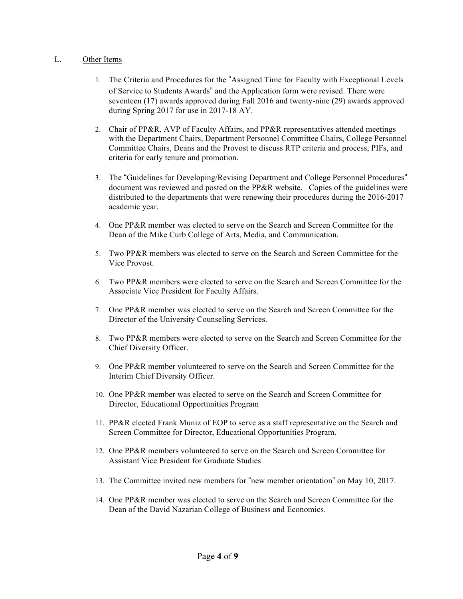# L. Other Items

- 1. The Criteria and Procedures for the "Assigned Time for Faculty with Exceptional Levels of Service to Students Awards" and the Application form were revised. There were seventeen (17) awards approved during Fall 2016 and twenty-nine (29) awards approved during Spring 2017 for use in 2017-18 AY.
- 2. Chair of PP&R, AVP of Faculty Affairs, and PP&R representatives attended meetings with the Department Chairs, Department Personnel Committee Chairs, College Personnel Committee Chairs, Deans and the Provost to discuss RTP criteria and process, PIFs, and criteria for early tenure and promotion.
- 3. The "Guidelines for Developing/Revising Department and College Personnel Procedures" document was reviewed and posted on the PP&R website. Copies of the guidelines were distributed to the departments that were renewing their procedures during the 2016-2017 academic year.
- 4. One PP&R member was elected to serve on the Search and Screen Committee for the Dean of the Mike Curb College of Arts, Media, and Communication.
- 5. Two PP&R members was elected to serve on the Search and Screen Committee for the Vice Provost.
- 6. Two PP&R members were elected to serve on the Search and Screen Committee for the Associate Vice President for Faculty Affairs.
- 7. One PP&R member was elected to serve on the Search and Screen Committee for the Director of the University Counseling Services.
- 8. Two PP&R members were elected to serve on the Search and Screen Committee for the Chief Diversity Officer.
- 9. One PP&R member volunteered to serve on the Search and Screen Committee for the Interim Chief Diversity Officer.
- 10. One PP&R member was elected to serve on the Search and Screen Committee for Director, Educational Opportunities Program
- 11. PP&R elected Frank Muniz of EOP to serve as a staff representative on the Search and Screen Committee for Director, Educational Opportunities Program.
- 12. One PP&R members volunteered to serve on the Search and Screen Committee for Assistant Vice President for Graduate Studies
- 13. The Committee invited new members for "new member orientation" on May 10, 2017.
- 14. One PP&R member was elected to serve on the Search and Screen Committee for the Dean of the David Nazarian College of Business and Economics.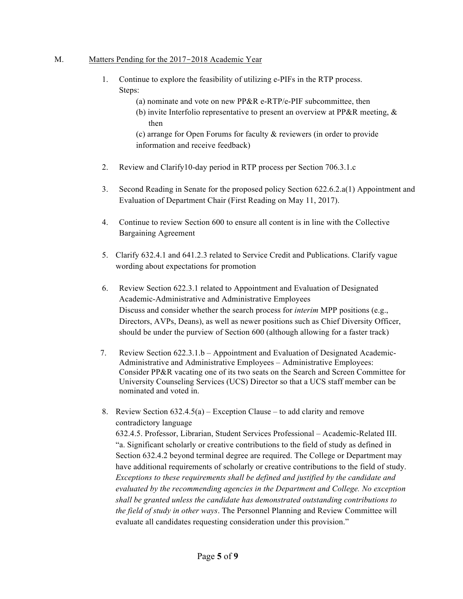# M. Matters Pending for the 2017-2018 Academic Year

- 1. Continue to explore the feasibility of utilizing e-PIFs in the RTP process. Steps:
	- (a) nominate and vote on new PP&R e-RTP/e-PIF subcommittee, then
	- (b) invite Interfolio representative to present an overview at PP&R meeting, & then

(c) arrange for Open Forums for faculty & reviewers (in order to provide information and receive feedback)

- 2. Review and Clarify10-day period in RTP process per Section 706.3.1.c
- 3. Second Reading in Senate for the proposed policy Section 622.6.2.a(1) Appointment and Evaluation of Department Chair (First Reading on May 11, 2017).
- 4. Continue to review Section 600 to ensure all content is in line with the Collective Bargaining Agreement
- 5. Clarify 632.4.1 and 641.2.3 related to Service Credit and Publications. Clarify vague wording about expectations for promotion
- 6. Review Section 622.3.1 related to Appointment and Evaluation of Designated Academic-Administrative and Administrative Employees Discuss and consider whether the search process for *interim* MPP positions (e.g., Directors, AVPs, Deans), as well as newer positions such as Chief Diversity Officer, should be under the purview of Section 600 (although allowing for a faster track)
- 7. Review Section 622.3.1.b Appointment and Evaluation of Designated Academic-Administrative and Administrative Employees – Administrative Employees: Consider PP&R vacating one of its two seats on the Search and Screen Committee for University Counseling Services (UCS) Director so that a UCS staff member can be nominated and voted in.
- 8. Review Section 632.4.5(a) Exception Clause to add clarity and remove contradictory language 632.4.5. Professor, Librarian, Student Services Professional – Academic-Related III. "a. Significant scholarly or creative contributions to the field of study as defined in Section 632.4.2 beyond terminal degree are required. The College or Department may have additional requirements of scholarly or creative contributions to the field of study. *Exceptions to these requirements shall be defined and justified by the candidate and evaluated by the recommending agencies in the Department and College. No exception shall be granted unless the candidate has demonstrated outstanding contributions to the field of study in other ways*. The Personnel Planning and Review Committee will evaluate all candidates requesting consideration under this provision."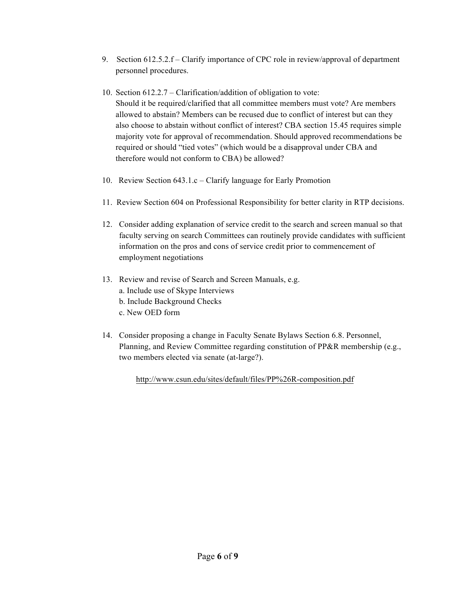- 9. Section 612.5.2.f Clarify importance of CPC role in review/approval of department personnel procedures.
- 10. Section 612.2.7 Clarification/addition of obligation to vote: Should it be required/clarified that all committee members must vote? Are members allowed to abstain? Members can be recused due to conflict of interest but can they also choose to abstain without conflict of interest? CBA section 15.45 requires simple majority vote for approval of recommendation. Should approved recommendations be required or should "tied votes" (which would be a disapproval under CBA and therefore would not conform to CBA) be allowed?
- 10. Review Section 643.1.c Clarify language for Early Promotion
- 11. Review Section 604 on Professional Responsibility for better clarity in RTP decisions.
- 12. Consider adding explanation of service credit to the search and screen manual so that faculty serving on search Committees can routinely provide candidates with sufficient information on the pros and cons of service credit prior to commencement of employment negotiations
- 13. Review and revise of Search and Screen Manuals, e.g. a. Include use of Skype Interviews b. Include Background Checks c. New OED form
- 14. Consider proposing a change in Faculty Senate Bylaws Section 6.8. Personnel, Planning, and Review Committee regarding constitution of PP&R membership (e.g., two members elected via senate (at-large?).

http://www.csun.edu/sites/default/files/PP%26R-composition.pdf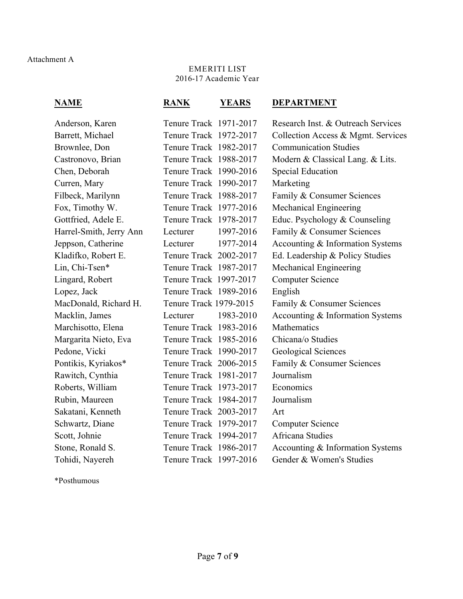# EMERITI LIST 2016-17 Academic Year

| <b>NAME</b>             | <b>RANK</b>            | <b>YEARS</b> | <b>DEPARTMENT</b>                  |
|-------------------------|------------------------|--------------|------------------------------------|
| Anderson, Karen         | Tenure Track 1971-2017 |              | Research Inst. & Outreach Services |
| Barrett, Michael        | Tenure Track 1972-2017 |              | Collection Access & Mgmt. Services |
| Brownlee, Don           | Tenure Track 1982-2017 |              | <b>Communication Studies</b>       |
| Castronovo, Brian       | Tenure Track 1988-2017 |              | Modern & Classical Lang. & Lits.   |
| Chen, Deborah           | Tenure Track 1990-2016 |              | <b>Special Education</b>           |
| Curren, Mary            | Tenure Track 1990-2017 |              | Marketing                          |
| Filbeck, Marilynn       | Tenure Track 1988-2017 |              | Family & Consumer Sciences         |
| Fox, Timothy W.         | Tenure Track 1977-2016 |              | Mechanical Engineering             |
| Gottfried, Adele E.     | Tenure Track 1978-2017 |              | Educ. Psychology & Counseling      |
| Harrel-Smith, Jerry Ann | Lecturer               | 1997-2016    | Family & Consumer Sciences         |
| Jeppson, Catherine      | Lecturer               | 1977-2014    | Accounting & Information Systems   |
| Kladifko, Robert E.     | Tenure Track 2002-2017 |              | Ed. Leadership & Policy Studies    |
| Lin, Chi-Tsen*          | Tenure Track 1987-2017 |              | Mechanical Engineering             |
| Lingard, Robert         | Tenure Track 1997-2017 |              | <b>Computer Science</b>            |
| Lopez, Jack             | Tenure Track 1989-2016 |              | English                            |
| MacDonald, Richard H.   | Tenure Track 1979-2015 |              | Family & Consumer Sciences         |
| Macklin, James          | Lecturer               | 1983-2010    | Accounting & Information Systems   |
| Marchisotto, Elena      | Tenure Track 1983-2016 |              | Mathematics                        |
| Margarita Nieto, Eva    | Tenure Track 1985-2016 |              | Chicana/o Studies                  |
| Pedone, Vicki           | Tenure Track 1990-2017 |              | Geological Sciences                |
| Pontikis, Kyriakos*     | Tenure Track 2006-2015 |              | Family & Consumer Sciences         |
| Rawitch, Cynthia        | Tenure Track 1981-2017 |              | Journalism                         |
| Roberts, William        | Tenure Track 1973-2017 |              | Economics                          |
| Rubin, Maureen          | Tenure Track 1984-2017 |              | Journalism                         |
| Sakatani, Kenneth       | Tenure Track 2003-2017 |              | Art                                |
| Schwartz, Diane         | Tenure Track 1979-2017 |              | <b>Computer Science</b>            |
| Scott, Johnie           | Tenure Track 1994-2017 |              | <b>Africana Studies</b>            |
| Stone, Ronald S.        | Tenure Track 1986-2017 |              | Accounting & Information Systems   |
| Tohidi, Nayereh         | Tenure Track 1997-2016 |              | Gender & Women's Studies           |

\*Posthumous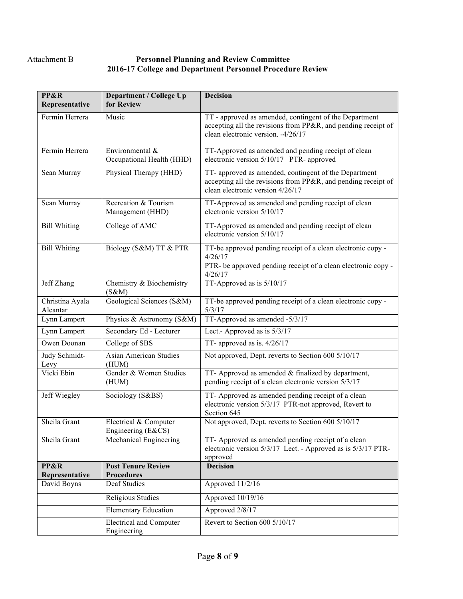# Attachment B **Personnel Planning and Review Committee 2016-17 College and Department Personnel Procedure Review**

| PP&R<br>Representative        | <b>Department / College Up</b><br>for Review  | <b>Decision</b>                                                                                                                                               |
|-------------------------------|-----------------------------------------------|---------------------------------------------------------------------------------------------------------------------------------------------------------------|
| Fermin Herrera                | Music                                         | TT - approved as amended, contingent of the Department<br>accepting all the revisions from PP&R, and pending receipt of<br>clean electronic version. -4/26/17 |
| Fermin Herrera                | Environmental &<br>Occupational Health (HHD)  | TT-Approved as amended and pending receipt of clean<br>electronic version 5/10/17 PTR- approved                                                               |
| Sean Murray                   | Physical Therapy (HHD)                        | TT- approved as amended, contingent of the Department<br>accepting all the revisions from PP&R, and pending receipt of<br>clean electronic version 4/26/17    |
| Sean Murray                   | Recreation & Tourism<br>Management (HHD)      | TT-Approved as amended and pending receipt of clean<br>electronic version 5/10/17                                                                             |
| <b>Bill Whiting</b>           | College of AMC                                | TT-Approved as amended and pending receipt of clean<br>electronic version 5/10/17                                                                             |
| <b>Bill Whiting</b>           | Biology (S&M) TT & PTR                        | TT-be approved pending receipt of a clean electronic copy -<br>4/26/17<br>PTR- be approved pending receipt of a clean electronic copy -<br>4/26/17            |
| Jeff Zhang                    | Chemistry & Biochemistry<br>(S&M)             | TT-Approved as is 5/10/17                                                                                                                                     |
| Christina Ayala<br>Alcantar   | Geological Sciences (S&M)                     | TT-be approved pending receipt of a clean electronic copy -<br>5/3/17                                                                                         |
| Lynn Lampert                  | Physics & Astronomy (S&M)                     | TT-Approved as amended -5/3/17                                                                                                                                |
| Lynn Lampert                  | Secondary Ed - Lecturer                       | Lect.- Approved as is 5/3/17                                                                                                                                  |
| Owen Doonan                   | College of SBS                                | TT- approved as is. 4/26/17                                                                                                                                   |
| Judy Schmidt-<br>Levy         | <b>Asian American Studies</b><br>(HUM)        | Not approved, Dept. reverts to Section 600 5/10/17                                                                                                            |
| Vicki Ebin                    | Gender & Women Studies<br>(HUM)               | TT- Approved as amended & finalized by department,<br>pending receipt of a clean electronic version 5/3/17                                                    |
| Jeff Wiegley                  | Sociology (S&BS)                              | TT-Approved as amended pending receipt of a clean<br>electronic version 5/3/17 PTR-not approved, Revert to<br>Section 645                                     |
| Sheila Grant                  | Electrical & Computer<br>Engineering (E&CS)   | Not approved, Dept. reverts to Section 600 5/10/17                                                                                                            |
| Sheila Grant                  | Mechanical Engineering                        | TT- Approved as amended pending receipt of a clean<br>electronic version 5/3/17 Lect. - Approved as is 5/3/17 PTR-<br>approved                                |
| PP&R                          | <b>Post Tenure Review</b>                     | <b>Decision</b>                                                                                                                                               |
| Representative<br>David Boyns | <b>Procedures</b><br>Deaf Studies             | Approved 11/2/16                                                                                                                                              |
|                               |                                               |                                                                                                                                                               |
|                               | Religious Studies                             | Approved 10/19/16                                                                                                                                             |
|                               | <b>Elementary Education</b>                   | Approved 2/8/17                                                                                                                                               |
|                               | <b>Electrical and Computer</b><br>Engineering | Revert to Section 600 5/10/17                                                                                                                                 |